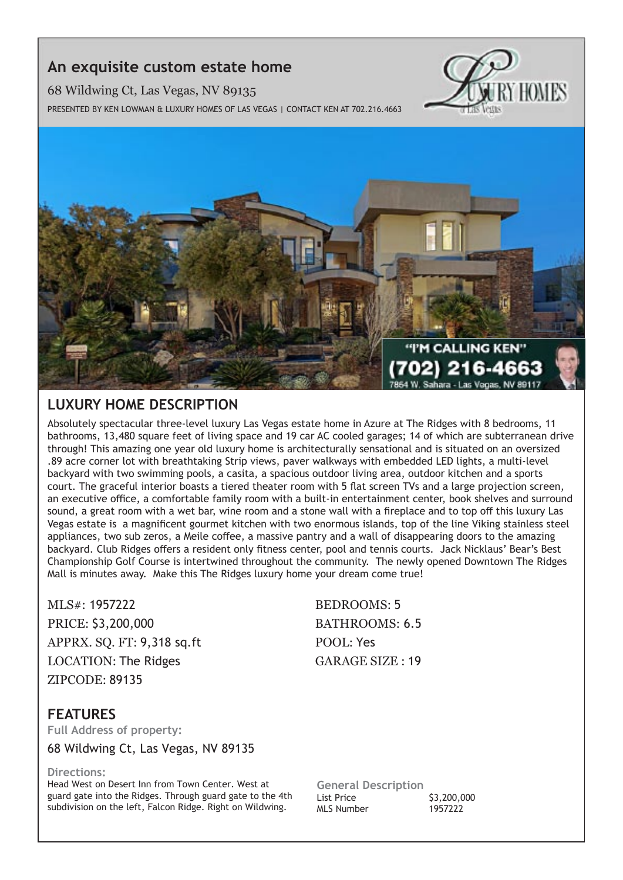## **An exquisite custom estate home**

68 Wildwing Ct, Las Vegas, NV 89135

Presented by Ken Lowman & Luxury Homes of Las Vegas | Contact Ken at 702.216.4663





## **Luxury Home description**

Absolutely spectacular three-level luxury Las Vegas estate home in Azure at The Ridges with 8 bedrooms, 11 bathrooms, 13,480 square feet of living space and 19 car AC cooled garages; 14 of which are subterranean drive through! This amazing one year old luxury home is architecturally sensational and is situated on an oversized .89 acre corner lot with breathtaking Strip views, paver walkways with embedded LED lights, a multi-level backyard with two swimming pools, a casita, a spacious outdoor living area, outdoor kitchen and a sports court. The graceful interior boasts a tiered theater room with 5 flat screen TVs and a large projection screen, an executive office, a comfortable family room with a built-in entertainment center, book shelves and surround sound, a great room with a wet bar, wine room and a stone wall with a fireplace and to top off this luxury Las Vegas estate is a magnificent gourmet kitchen with two enormous islands, top of the line Viking stainless steel appliances, two sub zeros, a Meile coffee, a massive pantry and a wall of disappearing doors to the amazing backyard. Club Ridges offers a resident only fitness center, pool and tennis courts. Jack Nicklaus' Bear's Best Championship Golf Course is intertwined throughout the community. The newly opened Downtown The Ridges Mall is minutes away. Make this The Ridges luxury home your dream come true!

MLS#: 1957222 BEDROOMS: 5 PRICE: \$3,200,000 BATHROOMS: 6.5 APPRX. SQ. FT: 9,318 sq.ft POOL: Yes LOCATION: The Ridges GARAGE SIZE : 19 ZIPCODE: 89135

## **features**

**Full Address of property:**

68 Wildwing Ct, Las Vegas, NV 89135

### **Directions:**

Head West on Desert Inn from Town Center. West at guard gate into the Ridges. Through guard gate to the 4th subdivision on the left, Falcon Ridge. Right on Wildwing.

**General Description** List Price \$3,200,000 MLS Number 1957222